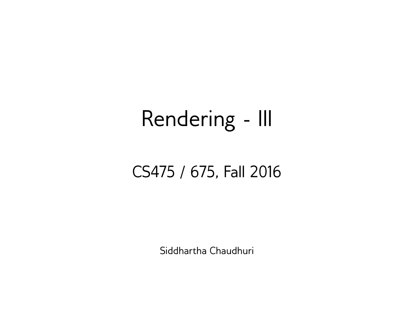#### Rendering - III

#### CS475 / 675, Fall 2016

Siddhartha Chaudhuri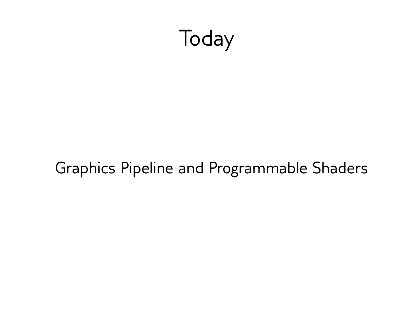

#### Graphics Pipeline and Programmable Shaders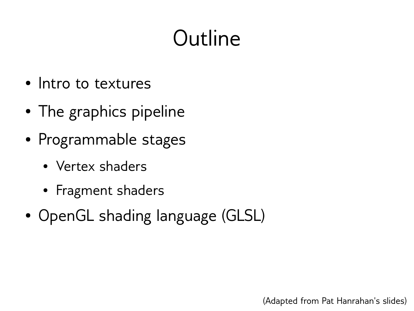## Outline

- Intro to textures
- The graphics pipeline
- Programmable stages
	- Vertex shaders
	- Fragment shaders
- OpenGL shading language (GLSL)

(Adapted from Pat Hanrahan's slides)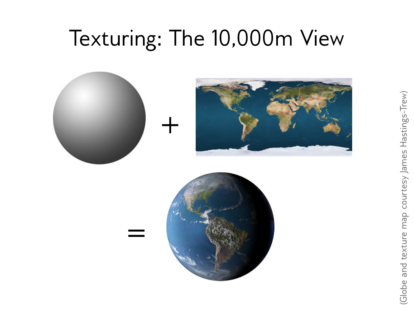#### Texturing: The 10,000m View





=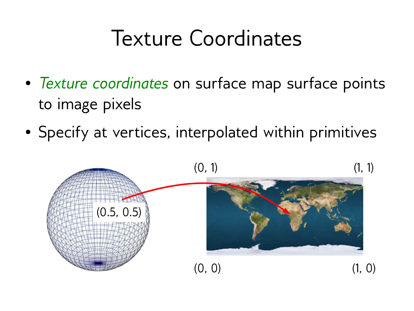#### Texture Coordinates

- *Texture coordinates* on surface map surface points to image pixels
- Specify at vertices, interpolated within primitives

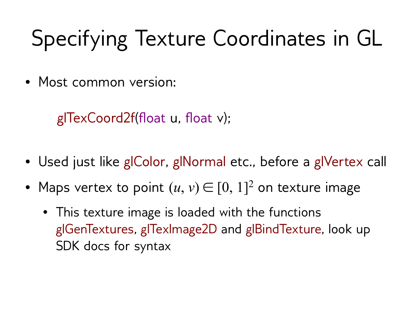## Specifying Texture Coordinates in GL

• Most common version:

glTexCoord2f(float u, float v);

- Used just like glColor, glNormal etc., before a glVertex call
- Maps vertex to point  $(u, v) \in [0, 1]^2$  on texture image
	- This texture image is loaded with the functions glGenTextures, glTexImage2D and glBindTexture, look up SDK docs for syntax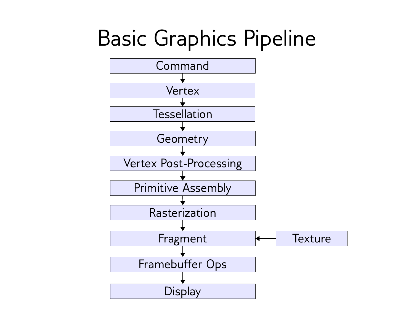#### Basic Graphics Pipeline

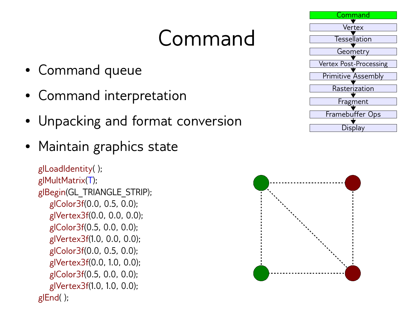#### Command

- Command queue
- Command interpretation
- Unpacking and format conversion
- Maintain graphics state

```
glLoadIdentity( );
glMultMatrix(T);
glBegin(GL_TRIANGLE_STRIP);
    glColor3f(0.0, 0.5, 0.0);
    glVertex3f(0.0, 0.0, 0.0);
    glColor3f(0.5, 0.0, 0.0);
    glVertex3f(1.0, 0.0, 0.0);
    glColor3f(0.0, 0.5, 0.0);
    glVertex3f(0.0, 1.0, 0.0);
    glColor3f(0.5, 0.0, 0.0);
    glVertex3f(1.0, 1.0, 0.0);
glEnd( );
```


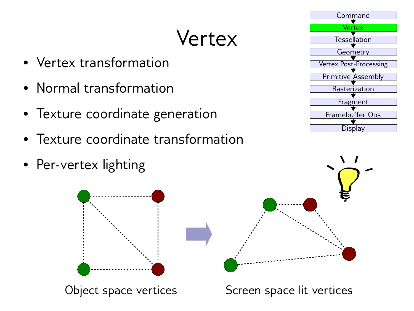## Vertex

- Vertex transformation
- Normal transformation
- Texture coordinate generation
- Texture coordinate transformation
- Per-vertex lighting









Object space vertices Screen space lit vertices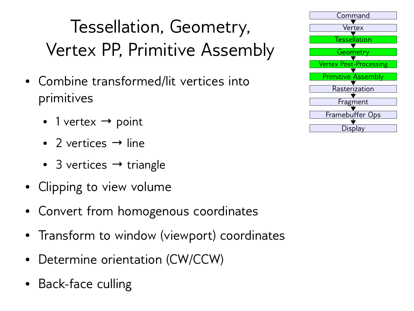#### Tessellation, Geometry, Vertex PP, Primitive Assembly

- Combine transformed/lit vertices into primitives
	- 1 vertex  $\rightarrow$  point
	- 2 vertices  $\rightarrow$  line
	- 3 vertices  $\rightarrow$  triangle
- Clipping to view volume
- Convert from homogenous coordinates
- Transform to window (viewport) coordinates
- Determine orientation (CW/CCW)
- Back-face culling

| Command                       |
|-------------------------------|
| Vertex                        |
| Tessellation                  |
| Geometry                      |
| <b>Vertex Post-Processing</b> |
| <b>Primitive Assembly</b>     |
| Rasterization                 |
| Fragment                      |
|                               |
| Framebuffer Ops               |
| Display                       |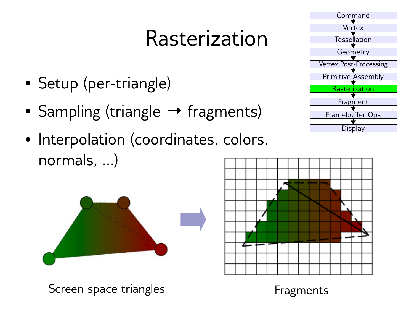#### Rasterization

- Setup (per-triangle)
- Sampling (triangle → fragments)
- Interpolation (coordinates, colors, normals, …)







Screen space triangles Fragments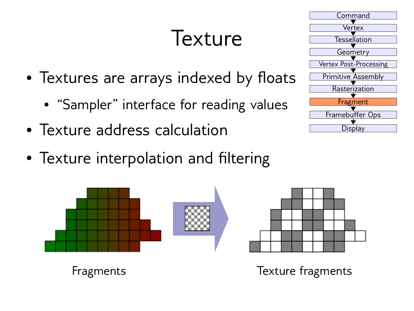#### Texture

- Textures are arrays indexed by floats
	- "Sampler" interface for reading values
- Texture address calculation
- Texture interpolation and filtering





**Display** 

Fragments Texture fragments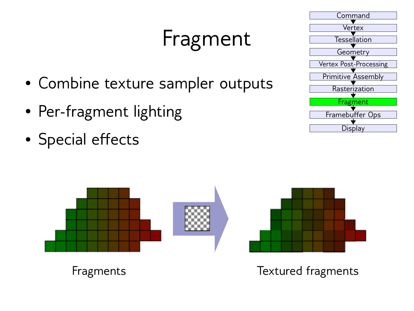## Fragment

- Combine texture sampler outputs
- Per-fragment lighting
- Special effects





#### Fragments Textured fragments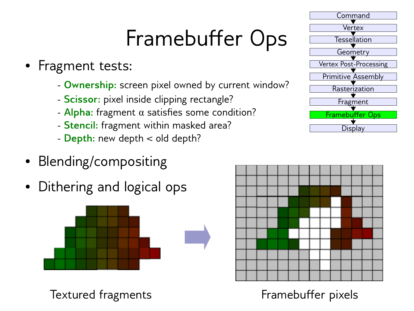## Framebuffer Ops

- Fragment tests:
	- **Ownership:** screen pixel owned by current window?
	- **Scissor:** pixel inside clipping rectangle?
	- **Alpha:** fragment α satisfies some condition?
	- **Stencil:** fragment within masked area?
	- **Depth:** new depth < old depth?
- Blending/compositing
- Dithering and logical ops



Textured fragments Textured framebuffer pixels



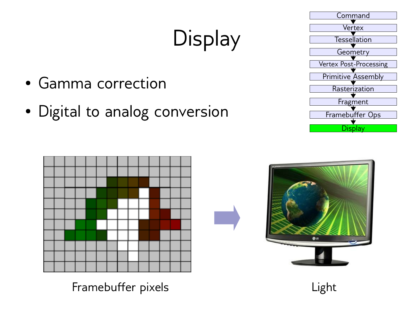# **Display**

- Gamma correction
- Digital to analog conversion





Framebuffer pixels **Light** 

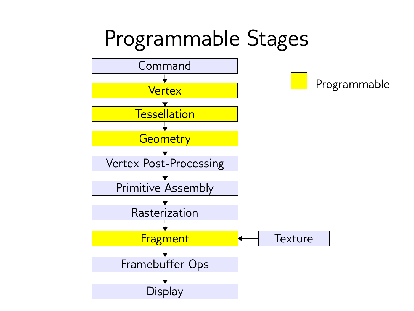#### Programmable Stages

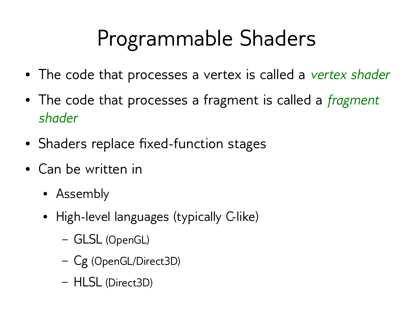## Programmable Shaders

- The code that processes a vertex is called a *vertex shader*
- The code that processes a fragment is called a *fragment shader*
- Shaders replace fixed-function stages
- Can be written in
	- Assembly
	- High-level languages (typically C-like)
		- GLSL (OpenGL)
		- Cg (OpenGL/Direct3D)
		- HLSL (Direct3D)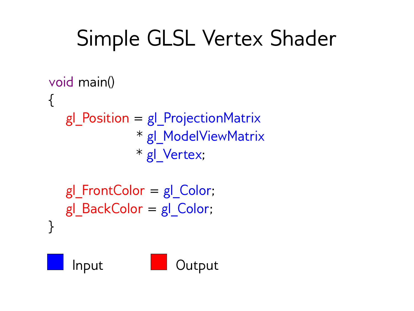#### Simple GLSL Vertex Shader

```
void main()
\{ gl_Position = gl_ProjectionMatrix
                * gl_ModelViewMatrix
                * gl_Vertex;
```

```
 gl_FrontColor = gl_Color;
   gl BackColor = gl Color;
}
```
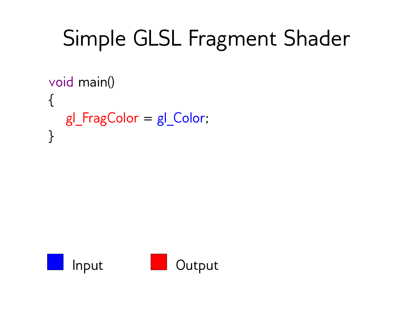## Simple GLSL Fragment Shader

```
void main()
{
   gl_FragColor = gl_Color;
}
```
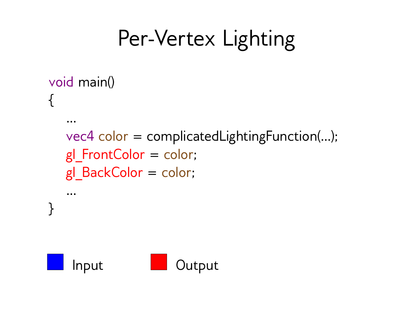#### Per-Vertex Lighting

```
void main()
{
 …
   vec4 color = complicatedLightingFunction(…);
  gl FrontColor = color;
  gl BackColor = color;
 …
}
```
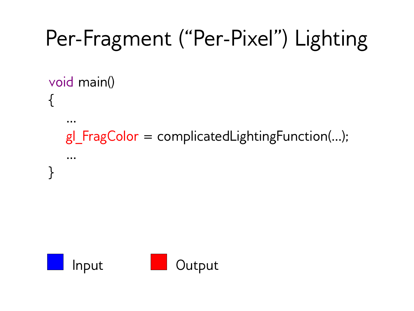# Per-Fragment ("Per-Pixel") Lighting Input **I** Output void main() { … gl  $FragColor = complicatedLightingFunction(...);$  … }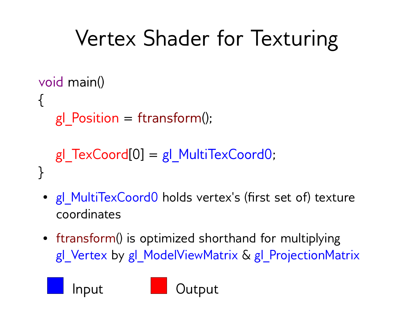## Vertex Shader for Texturing

```
void main()
{
  gl Position = ftransform();
  gl TextCoord[0] = gl MultiTexCoord0;
}
```
- gl MultiTexCoord0 holds vertex's (first set of) texture coordinates
- ftransform() is optimized shorthand for multiplying gl Vertex by gl ModelViewMatrix & gl ProjectionMatrix

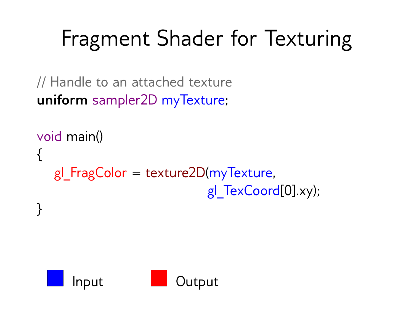## Fragment Shader for Texturing

// Handle to an attached texture **uniform** sampler2D myTexture;

```
void main()
\{gl FragColor = texture2D(myTexture, gl_TexCoord[0].xy);
```


}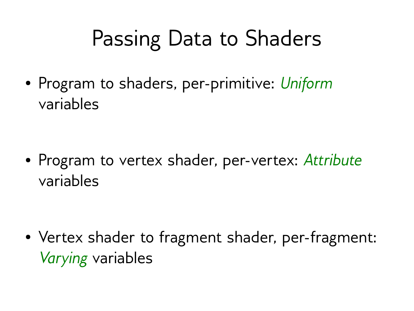#### Passing Data to Shaders

● Program to shaders, per-primitive: *Uniform* variables

● Program to vertex shader, per-vertex: *Attribute* variables

• Vertex shader to fragment shader, per-fragment: *Varying* variables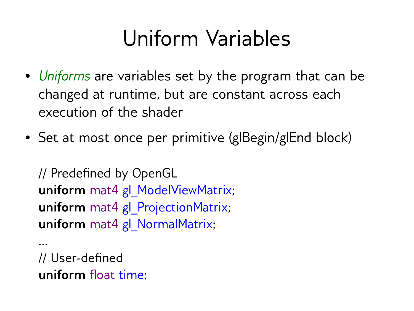#### Uniform Variables

- *Uniforms* are variables set by the program that can be changed at runtime, but are constant across each execution of the shader
- Set at most once per primitive (glBegin/glEnd block)

```
// Predefined by OpenGL
uniform mat4 gl_ModelViewMatrix;
uniform mat4 gl ProjectionMatrix;
uniform mat4 gl_NormalMatrix;
```

```
// User-defined
uniform float time;
```
…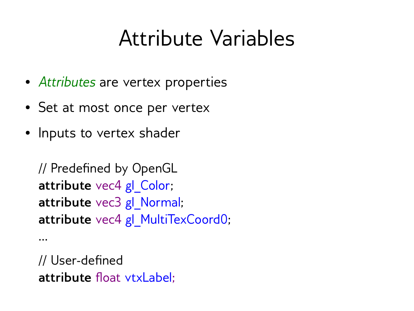#### Attribute Variables

- *Attributes* are vertex properties
- Set at most once per vertex
- Inputs to vertex shader

```
// Predefined by OpenGL
attribute vec4 gl Color;
attribute vec3 gl Normal;
attribute vec4 gl MultiTexCoord0;
```

```
// User-defined
attribute float vtxLabel;
```
…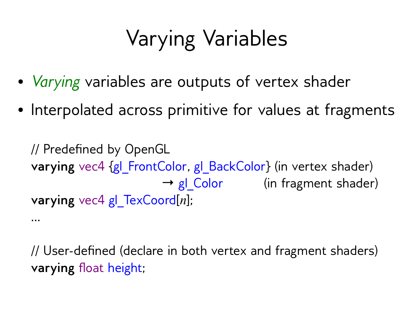## Varying Variables

- *Varying* variables are outputs of vertex shader
- Interpolated across primitive for values at fragments

// Predefined by OpenGL **varying** vec4 {gl\_FrontColor, gl\_BackColor} (in vertex shader)  $\rightarrow$  gl Color (in fragment shader) **varying** vec4 gl\_TexCoord[*n*];

…

// User-defined (declare in both vertex and fragment shaders) **varying** float height;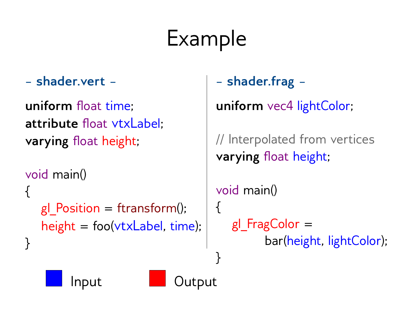## Example

}<br>]

**– shader.vert –**

**uniform** float time; **attribute** float vtxLabel; **varying** float height;

```
void main()
\{gl Position = ftransform();
   height = foo(vtxLabel, time);
}
```

```
– shader.frag –
```
**uniform** vec4 lightColor;

// Interpolated from vertices **varying** float height;

```
void main()
{
   gl FragColor = bar(height, lightColor);
```
Input **I** Output